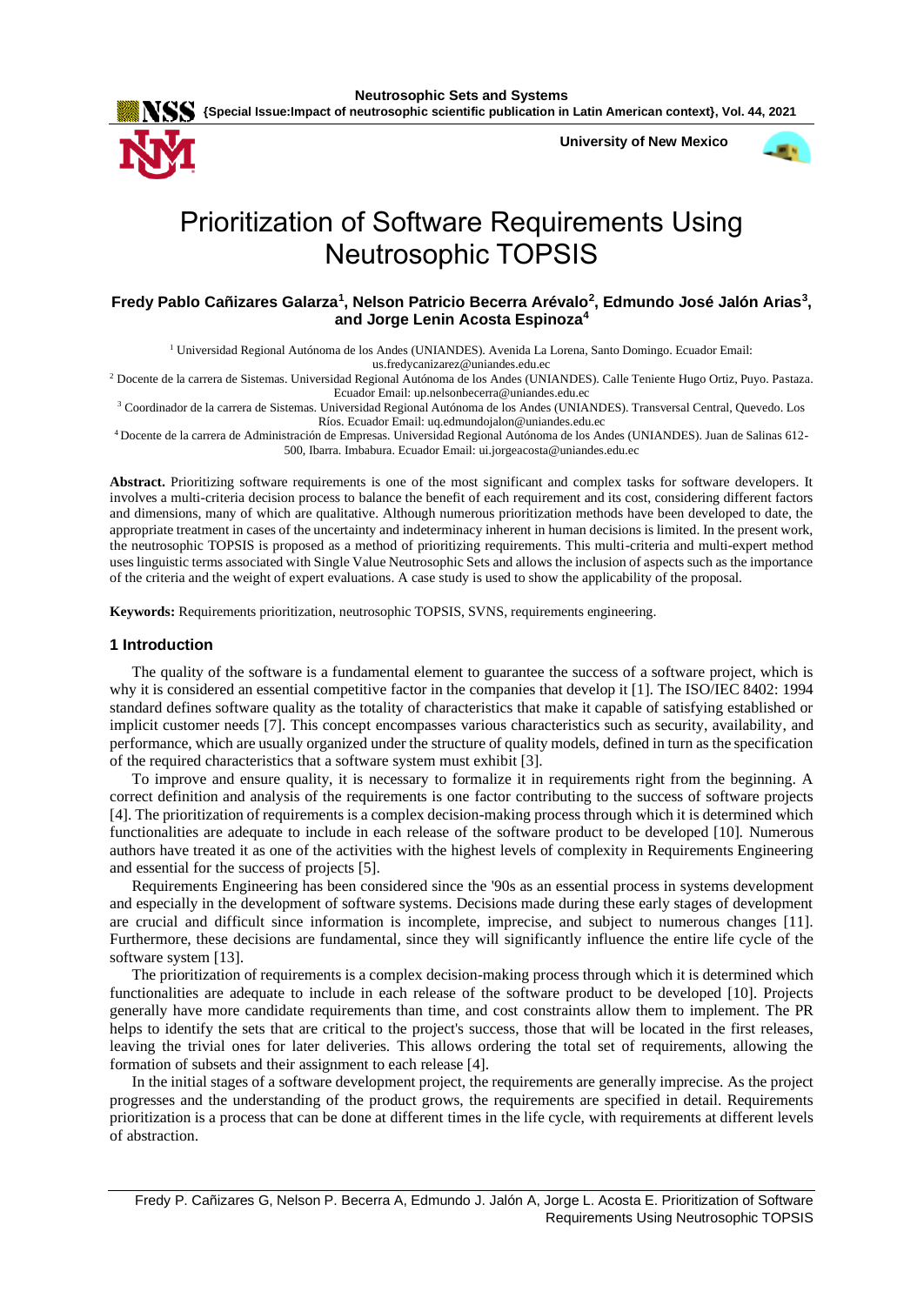

**University of New Mexico**



# Prioritization of Software Requirements Using Neutrosophic TOPSIS

# Fredy Pablo Cañizares Galarza<sup>1</sup>, Nelson Patricio Becerra Arévalo<sup>2</sup>, Edmundo José Jalón Arias<sup>3</sup>, **and Jorge Lenin Acosta Espinoza<sup>4</sup>**

<sup>1</sup> Universidad Regional Autónoma de los Andes (UNIANDES). Avenida La Lorena, Santo Domingo. Ecuador Email:

[us.fredycanizarez@uniandes.edu.ec](mailto:us.fredycanizarez@uniandes.edu.ec)

<sup>2</sup> Docente de la carrera de Sistemas. Universidad Regional Autónoma de los Andes (UNIANDES). Calle Teniente Hugo Ortiz, Puyo. Pastaza. Ecuador Email[: up.nelsonbecerra@uniandes.edu.ec](mailto:up.nelsonbecerra@uniandes.edu.ec)

<sup>3</sup> Coordinador de la carrera de Sistemas. Universidad Regional Autónoma de los Andes (UNIANDES). Transversal Central, Quevedo. Los Ríos. Ecuador Email: [uq.edmundojalon@uniandes.edu.ec](mailto:uq.edmundojalon@uniandes.edu.ec)

<sup>4</sup>Docente de la carrera de Administración de Empresas. Universidad Regional Autónoma de los Andes (UNIANDES). Juan de Salinas 612- 500, Ibarra. Imbabura. Ecuador Email: [ui.jorgeacosta@uniandes.edu.ec](mailto:ui.jorgeacosta@uniandes.edu.ec)

**Abstract.** Prioritizing software requirements is one of the most significant and complex tasks for software developers. It involves a multi-criteria decision process to balance the benefit of each requirement and its cost, considering different factors and dimensions, many of which are qualitative. Although numerous prioritization methods have been developed to date, the appropriate treatment in cases of the uncertainty and indeterminacy inherent in human decisions is limited. In the present work, the neutrosophic TOPSIS is proposed as a method of prioritizing requirements. This multi-criteria and multi-expert method uses linguistic terms associated with Single Value Neutrosophic Sets and allows the inclusion of aspects such as the importance of the criteria and the weight of expert evaluations. A case study is used to show the applicability of the proposal.

**Keywords:** Requirements prioritization, neutrosophic TOPSIS, SVNS, requirements engineering.

# **1 Introduction**

The quality of the software is a fundamental element to guarantee the success of a software project, which is why it is considered an essential competitive factor in the companies that develop it [1]. The ISO/IEC 8402: 1994 standard defines software quality as the totality of characteristics that make it capable of satisfying established or implicit customer needs [7]. This concept encompasses various characteristics such as security, availability, and performance, which are usually organized under the structure of quality models, defined in turn as the specification of the required characteristics that a software system must exhibit [3].

To improve and ensure quality, it is necessary to formalize it in requirements right from the beginning. A correct definition and analysis of the requirements is one factor contributing to the success of software projects [4]. The prioritization of requirements is a complex decision-making process through which it is determined which functionalities are adequate to include in each release of the software product to be developed [10]. Numerous authors have treated it as one of the activities with the highest levels of complexity in Requirements Engineering and essential for the success of projects [5].

Requirements Engineering has been considered since the '90s as an essential process in systems development and especially in the development of software systems. Decisions made during these early stages of development are crucial and difficult since information is incomplete, imprecise, and subject to numerous changes [11]. Furthermore, these decisions are fundamental, since they will significantly influence the entire life cycle of the software system [13].

The prioritization of requirements is a complex decision-making process through which it is determined which functionalities are adequate to include in each release of the software product to be developed [10]. Projects generally have more candidate requirements than time, and cost constraints allow them to implement. The PR helps to identify the sets that are critical to the project's success, those that will be located in the first releases, leaving the trivial ones for later deliveries. This allows ordering the total set of requirements, allowing the formation of subsets and their assignment to each release [4].

In the initial stages of a software development project, the requirements are generally imprecise. As the project progresses and the understanding of the product grows, the requirements are specified in detail. Requirements prioritization is a process that can be done at different times in the life cycle, with requirements at different levels of abstraction.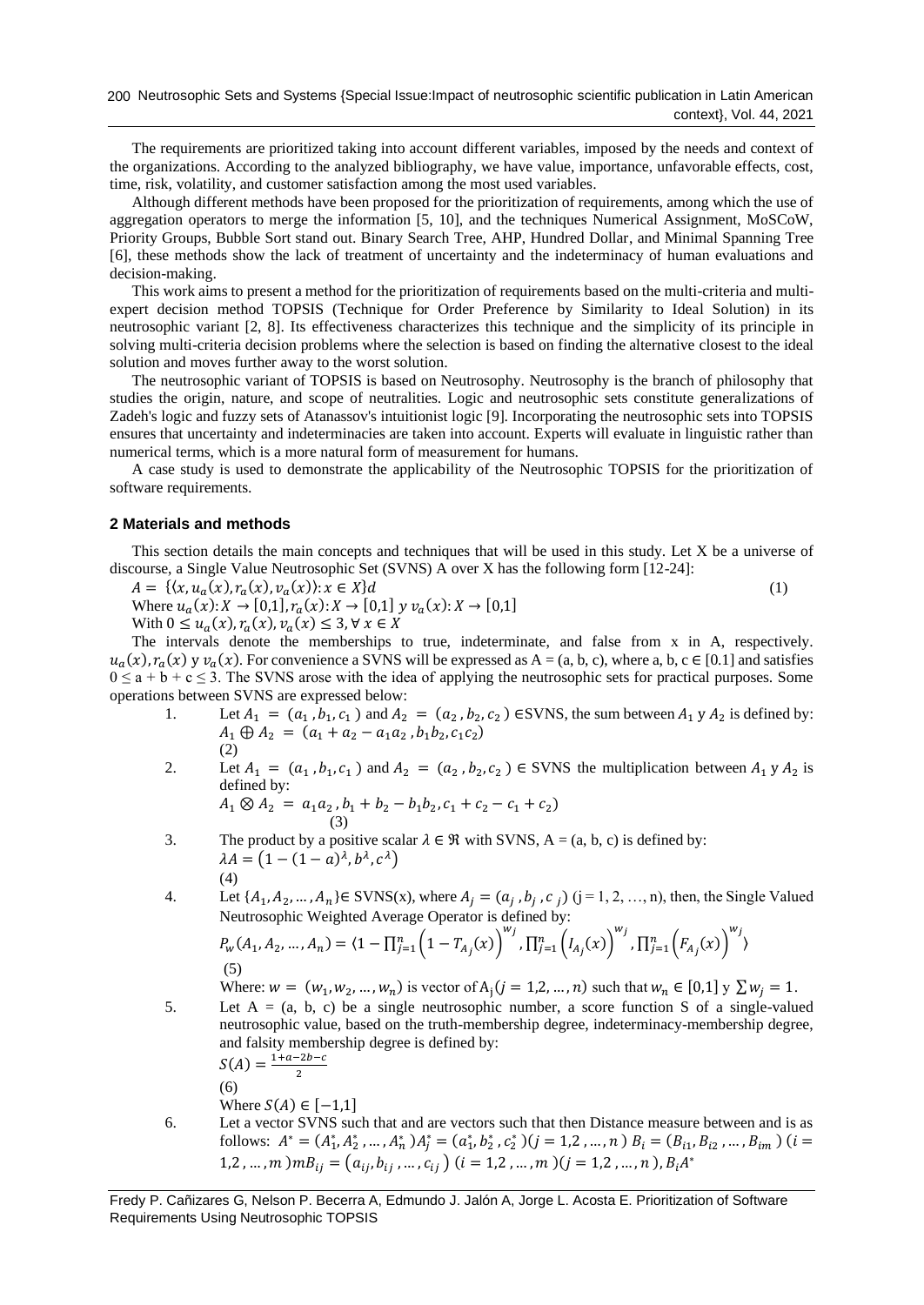The requirements are prioritized taking into account different variables, imposed by the needs and context of the organizations. According to the analyzed bibliography, we have value, importance, unfavorable effects, cost, time, risk, volatility, and customer satisfaction among the most used variables.

Although different methods have been proposed for the prioritization of requirements, among which the use of aggregation operators to merge the information [5, 10], and the techniques Numerical Assignment, MoSCoW, Priority Groups, Bubble Sort stand out. Binary Search Tree, AHP, Hundred Dollar, and Minimal Spanning Tree [6], these methods show the lack of treatment of uncertainty and the indeterminacy of human evaluations and decision-making.

This work aims to present a method for the prioritization of requirements based on the multi-criteria and multiexpert decision method TOPSIS (Technique for Order Preference by Similarity to Ideal Solution) in its neutrosophic variant [2, 8]. Its effectiveness characterizes this technique and the simplicity of its principle in solving multi-criteria decision problems where the selection is based on finding the alternative closest to the ideal solution and moves further away to the worst solution.

The neutrosophic variant of TOPSIS is based on Neutrosophy. Neutrosophy is the branch of philosophy that studies the origin, nature, and scope of neutralities. Logic and neutrosophic sets constitute generalizations of Zadeh's logic and fuzzy sets of Atanassov's intuitionist logic [9]. Incorporating the neutrosophic sets into TOPSIS ensures that uncertainty and indeterminacies are taken into account. Experts will evaluate in linguistic rather than numerical terms, which is a more natural form of measurement for humans.

A case study is used to demonstrate the applicability of the Neutrosophic TOPSIS for the prioritization of software requirements.

## **2 Materials and methods**

This section details the main concepts and techniques that will be used in this study. Let X be a universe of discourse, a Single Value Neutrosophic Set (SVNS) A over X has the following form [12-24]:

 $A = \{(x, u_a(x), r_a(x), v_a(x)) : x \in X\}$ d (1)

Where 
$$
u_a(x): X \to [0,1], r_a(x): X \to [0,1]
$$
  $y v_a(x): X \to [0,1]$   
With  $0 \le u_a(x), r_a(x), v_a(x) \le 3, \forall x \in X$ 

The intervals denote the memberships to true, indeterminate, and false from x in A, respectively.  $u_a(x)$ ,  $r_a(x)$  y  $v_a(x)$ . For convenience a SVNS will be expressed as  $A = (a, b, c)$ , where a, b,  $c \in [0.1]$  and satisfies  $0 \le a + b + c \le 3$ . The SVNS arose with the idea of applying the neutrosophic sets for practical purposes. Some operations between SVNS are expressed below:

- 1. Let  $A_1 = (a_1, b_1, c_1)$  and  $A_2 = (a_2, b_2, c_2)$  ESVNS, the sum between  $A_1 y A_2$  is defined by:  $A_1 \oplus A_2 = (a_1 + a_2 - a_1 a_2, b_1 b_2, c_1 c_2)$ (2)
- 2. Let  $A_1 = (a_1, b_1, c_1)$  and  $A_2 = (a_2, b_2, c_2) \in$  SVNS the multiplication between  $A_1 y A_2$  is defined by:

$$
A_1 \otimes A_2 = a_1 a_2, b_1 + b_2 - b_1 b_2, c_1 + c_2 - c_1 + c_2
$$
  
(3)

- 3. The product by a positive scalar  $\lambda \in \mathcal{R}$  with SVNS, A = (a, b, c) is defined by:  $\lambda A = (1 - (1 - a)^{\lambda}, b^{\lambda}, c^{\lambda})$ (4)
- 4. Let  $\{A_1, A_2, ..., A_n\} \in \text{SVNS}(x)$ , where  $A_j = (a_j, b_j, c_j)$   $(j = 1, 2, ..., n)$ , then, the Single Valued Neutrosophic Weighted Average Operator is defined by:

$$
P_{w}(A_1, A_2, ..., A_n) = \langle 1 - \prod_{j=1}^n \left(1 - T_{A_j}(x)\right)^{w_j}, \prod_{j=1}^n \left(I_{A_j}(x)\right)^{w_j}, \prod_{j=1}^n \left(F_{A_j}(x)\right)^{w_j}
$$
\n(5)

Where:  $w = (w_1, w_2, ..., w_n)$  is vector of  $A_j (j = 1, 2, ..., n)$  such that  $w_n \in [0, 1]$   $y \sum w_j = 1$ .

5. Let  $A = (a, b, c)$  be a single neutrosophic number, a score function S of a single-valued neutrosophic value, based on the truth-membership degree, indeterminacy-membership degree, and falsity membership degree is defined by:  $-a-2b-c$ 

$$
S(A) = \frac{1 + a - 2b}{2}
$$

(6)

- Where  $S(A) \in [-1,1]$
- 6. Let a vector SVNS such that and are vectors such that then Distance measure between and is as follows:  $A^* = (A_1^*, A_2^*, \dots, A_n^*)A_j^* = (a_1^*, b_2^*, c_2^*)$  $(j = 1, 2, \dots, n)$   $B_i = (B_{i1}, B_{i2}, \dots, B_{im})$   $(i =$ 1,2 , ... ,  $m$  )  $m B_{ij} = (a_{ij}, b_{ij}, ..., c_{ij})$   $(i = 1, 2, ..., m) (j = 1, 2, ..., n)$ ,  $B_i A^*$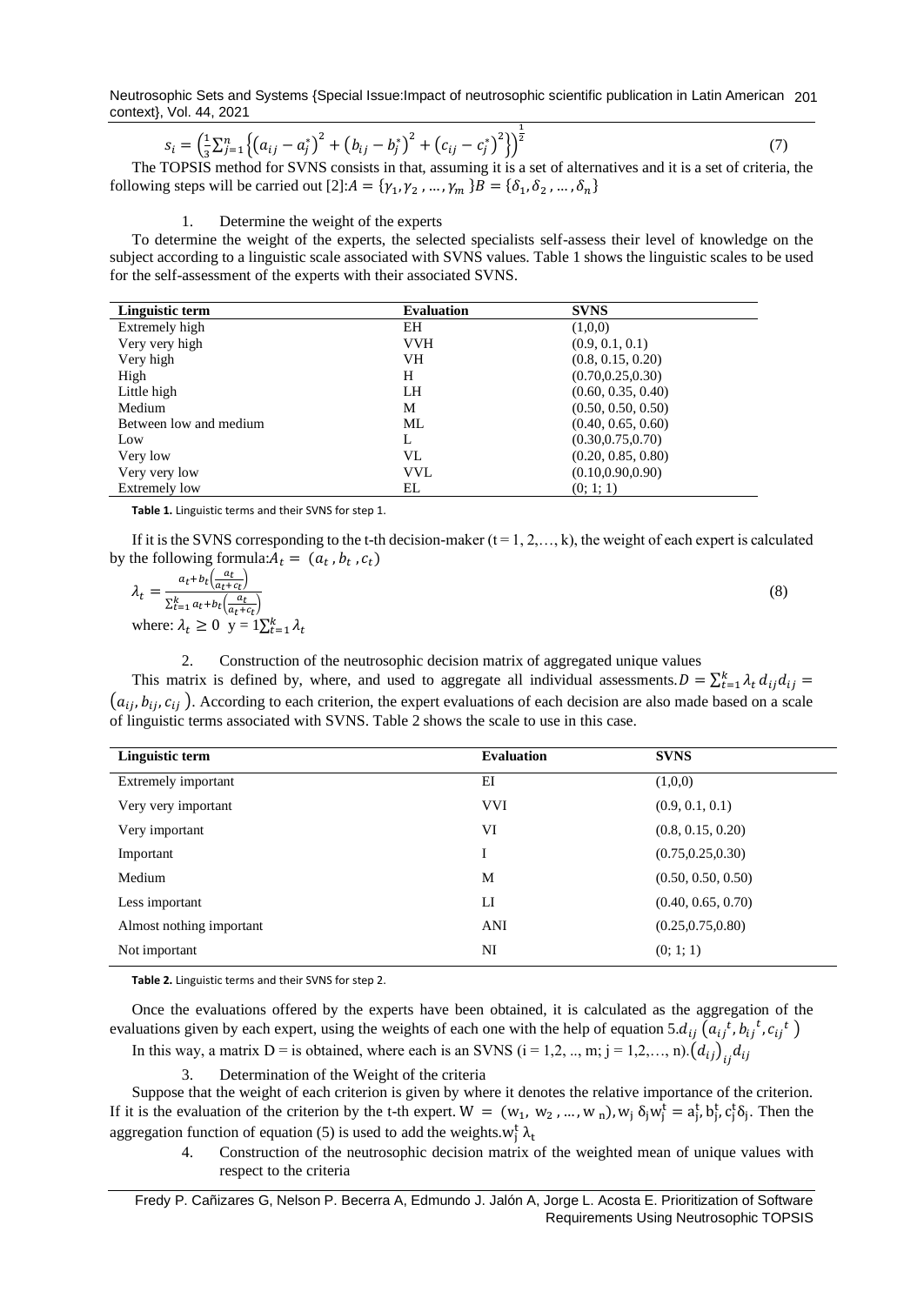Neutrosophic Sets and Systems {Special Issue:Impact of neutrosophic scientific publication in Latin American 201 context}, Vol. 44, 2021

$$
s_i = \left(\frac{1}{3}\sum_{j=1}^n \left\{ (a_{ij} - a_j^*)^2 + (b_{ij} - b_j^*)^2 + (c_{ij} - c_j^*)^2 \right\} \right)^{\frac{1}{2}}
$$
(7)

The TOPSIS method for SVNS consists in that, assuming it is a set of alternatives and it is a set of criteria, the following steps will be carried out  $[2]: A = {\gamma_1, \gamma_2, ..., \gamma_m} B = {\delta_1, \delta_2, ..., \delta_n}$ 

#### 1. Determine the weight of the experts

To determine the weight of the experts, the selected specialists self-assess their level of knowledge on the subject according to a linguistic scale associated with SVNS values. Table 1 shows the linguistic scales to be used for the self-assessment of the experts with their associated SVNS.

| Linguistic term        | <b>Evaluation</b> | <b>SVNS</b>        |
|------------------------|-------------------|--------------------|
| Extremely high         | EH                | (1,0,0)            |
| Very very high         | <b>VVH</b>        | (0.9, 0.1, 0.1)    |
| Very high              | VH                | (0.8, 0.15, 0.20)  |
| High                   | H                 | (0.70, 0.25, 0.30) |
| Little high            | LH                | (0.60, 0.35, 0.40) |
| Medium                 | M                 | (0.50, 0.50, 0.50) |
| Between low and medium | ML                | (0.40, 0.65, 0.60) |
| Low                    | L                 | (0.30, 0.75, 0.70) |
| Very low               | VL                | (0.20, 0.85, 0.80) |
| Very very low          | <b>VVL</b>        | (0.10, 0.90, 0.90) |
| Extremely low          | EL                | (0; 1; 1)          |

**Table 1.** Linguistic terms and their SVNS for step 1.

If it is the SVNS corresponding to the t-th decision-maker  $(t = 1, 2, \ldots, k)$ , the weight of each expert is calculated by the following formula: $A_t = (a_t, b_t, c_t)$ 

| $a_t+b_t\left(\frac{a_t}{a_{t}+c_t}\right)$                   |  |
|---------------------------------------------------------------|--|
| $\sum_{t=1}^k a_t + b_t \left( \frac{a_t}{a_t + c_t} \right)$ |  |
| where: $\lambda_t \geq 0$ y = $1\sum_{t=1}^k \lambda_t$       |  |

2. Construction of the neutrosophic decision matrix of aggregated unique values

This matrix is defined by, where, and used to aggregate all individual assessments.  $D = \sum_{t=1}^{k} \lambda_t d_{ij} d_{ij}$  $(a_{i,j}, b_{i,j}, c_{i,j})$ . According to each criterion, the expert evaluations of each decision are also made based on a scale of linguistic terms associated with SVNS. Table 2 shows the scale to use in this case.

| Linguistic term          | <b>Evaluation</b> | <b>SVNS</b>        |
|--------------------------|-------------------|--------------------|
| Extremely important      | EI                | (1,0,0)            |
| Very very important      | <b>VVI</b>        | (0.9, 0.1, 0.1)    |
| Very important           | VI                | (0.8, 0.15, 0.20)  |
| Important                | I                 | (0.75, 0.25, 0.30) |
| Medium                   | M                 | (0.50, 0.50, 0.50) |
| Less important           | LI                | (0.40, 0.65, 0.70) |
| Almost nothing important | ANI               | (0.25, 0.75, 0.80) |
| Not important            | NI                | (0; 1; 1)          |
|                          |                   |                    |

**Table 2.** Linguistic terms and their SVNS for step 2.

Once the evaluations offered by the experts have been obtained, it is calculated as the aggregation of the evaluations given by each expert, using the weights of each one with the help of equation 5. $d_{ij} (a_{ij}^t, b_{ij}^t, c_{ij}^t)$ In this way, a matrix D = is obtained, where each is an SVNS (i = 1,2, ..., m; j = 1,2,..., n). $(d_{ij})_{ij}d_{ij}$ 

3. Determination of the Weight of the criteria

Suppose that the weight of each criterion is given by where it denotes the relative importance of the criterion. If it is the evaluation of the criterion by the t-th expert.  $W = (w_1, w_2, ..., w_n), w_j \delta_j w_j^t = a_j^t, b_j^t, c_j^t \delta_j$ . Then the aggregation function of equation (5) is used to add the weights.  $w_j^t \lambda_t$ 

4. Construction of the neutrosophic decision matrix of the weighted mean of unique values with respect to the criteria

Fredy P. Cañizares G, Nelson P. Becerra A, Edmundo J. Jalón A, Jorge L. Acosta E. Prioritization of Software Requirements Using Neutrosophic TOPSIS

(8)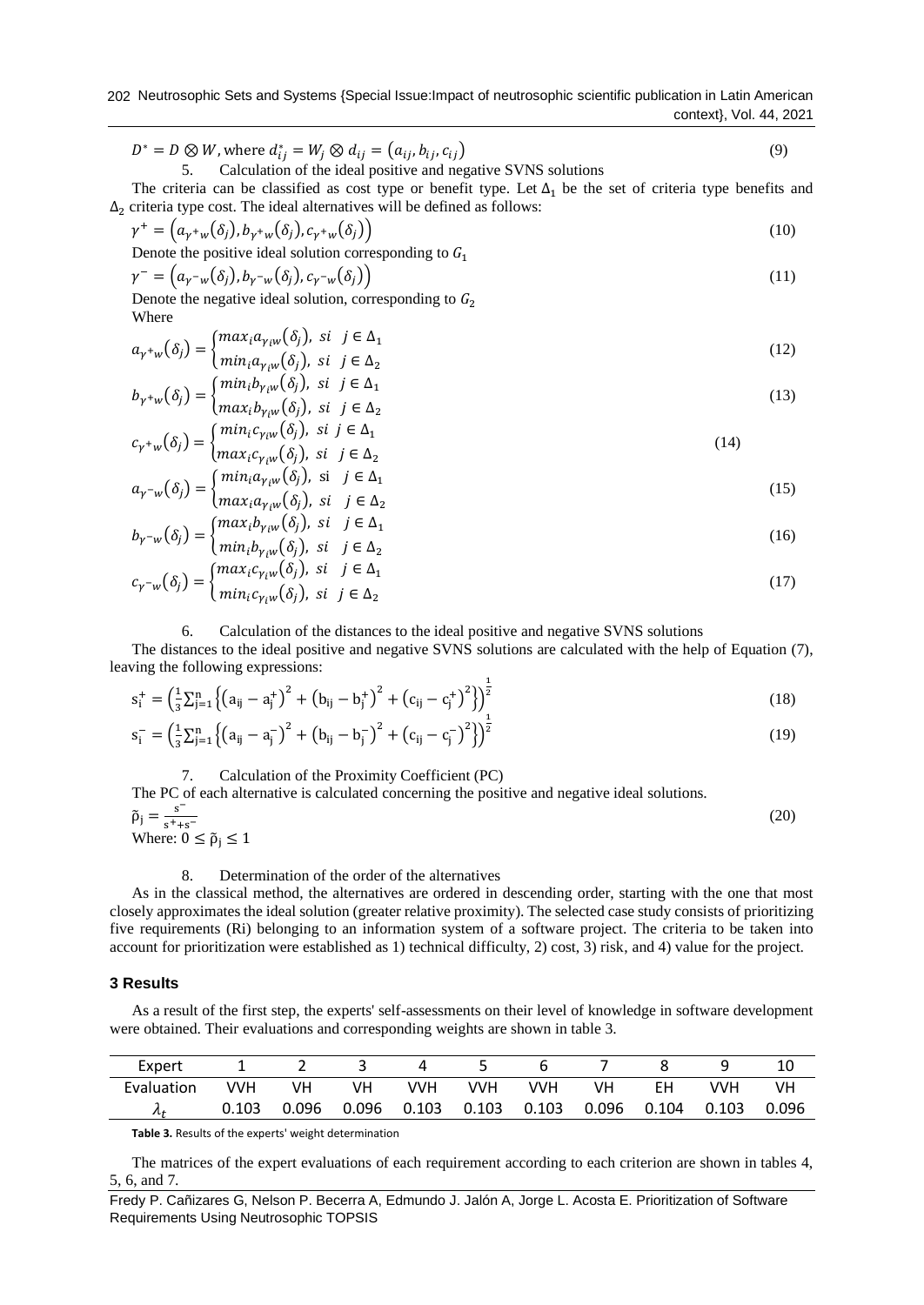202 Neutrosophic Sets and Systems {Special Issue:Impact of neutrosophic scientific publication in Latin American context}, Vol. 44, 2021

$$
D^* = D \otimes W
$$
, where  $d_{ij}^* = W_j \otimes d_{ij} = (a_{ij}, b_{ij}, c_{ij})$   
5. Calculation of the ideal positive and negative SVMS solutions

The criteria can be classified as cost type or benefit type. Let  $\Delta_1$  be the set of criteria type benefits and  $\Delta_2$  criteria type cost. The ideal alternatives will be defined as follows:

$$
\gamma^+ = \left(a_{\gamma^+w}(\delta_j), b_{\gamma^+w}(\delta_j), c_{\gamma^+w}(\delta_j)\right) \tag{10}
$$

Denote the positive ideal solution corresponding to  $G_1$ 

$$
\gamma^{-} = (a_{\gamma^{-}w}(\delta_j), b_{\gamma^{-}w}(\delta_j), c_{\gamma^{-}w}(\delta_j))
$$
\n(11)

Denote the negative ideal solution, corresponding to  $G_2$ Where

$$
a_{\gamma^+w}(\delta_j) = \begin{cases} \max_i a_{\gamma_i w}(\delta_j), & \text{si } j \in \Delta_1 \\ \min_i a_{\gamma_i w}(\delta_j), & \text{si } j \in \Delta_2 \end{cases}
$$
(12)

$$
b_{\gamma^+w}(\delta_j) = \begin{cases} \min_i b_{\gamma_i w}(\delta_j), & \text{si } j \in \Delta_1 \\ \max_i b_{\gamma_i w}(\delta_j), & \text{si } j \in \Delta_2 \end{cases}
$$
(13)

$$
c_{\gamma^+w}(\delta_j) = \begin{cases} min_i c_{\gamma_i w}(\delta_j), \ \text{si } j \in \Delta_1 \\ max_i c_{\gamma_i w}(\delta_j), \ \text{si } j \in \Delta_2 \end{cases}
$$
(14)

$$
a_{\gamma^{-w}}(\delta_j) = \begin{cases} \min_i a_{\gamma_i w}(\delta_j), & \text{si} \quad j \in \Delta_1 \\ \max_i a_{\gamma_i w}(\delta_j), & \text{si} \quad j \in \Delta_2 \end{cases}
$$
(15)

$$
b_{\gamma^{-w}}(\delta_j) = \begin{cases} \max_i b_{\gamma_i w}(\delta_j), & \text{si} \quad j \in \Delta_1 \\ \min_i b_{\gamma_i w}(\delta_j), & \text{si} \quad j \in \Delta_2 \end{cases}
$$
(16)

$$
c_{\gamma^{-}w}(\delta_j) = \begin{cases} \max_i c_{\gamma_i w}(\delta_j), & \text{si} \quad j \in \Delta_1 \\ \min_i c_{\gamma_i w}(\delta_j), & \text{si} \quad j \in \Delta_2 \end{cases}
$$
(17)

## 6. Calculation of the distances to the ideal positive and negative SVNS solutions

The distances to the ideal positive and negative SVNS solutions are calculated with the help of Equation (7), leaving the following expressions:

$$
s_i^+ = \left(\frac{1}{3}\sum_{j=1}^n \left\{ (a_{ij} - a_j^+) ^2 + (b_{ij} - b_j^+) ^2 + (c_{ij} - c_j^+) ^2 \right\} \right)^{\frac{1}{2}}
$$
(18)

$$
s_{i}^{-} = \left(\frac{1}{3}\sum_{j=1}^{n} \left\{ (a_{ij} - a_{j}^{-})^{2} + (b_{ij} - b_{j}^{-})^{2} + (c_{ij} - c_{j}^{-})^{2} \right\} \right)^{\frac{1}{2}}
$$
(19)

7. Calculation of the Proximity Coefficient (PC)

The PC of each alternative is calculated concerning the positive and negative ideal solutions.  
\n
$$
\tilde{\rho}_j = \frac{s^-}{s^+ + s^-}
$$

Where: 
$$
0 \leq \tilde{p}_j \leq 1
$$

(20)

8. Determination of the order of the alternatives

As in the classical method, the alternatives are ordered in descending order, starting with the one that most closely approximates the ideal solution (greater relative proximity). The selected case study consists of prioritizing five requirements (Ri) belonging to an information system of a software project. The criteria to be taken into account for prioritization were established as 1) technical difficulty, 2) cost, 3) risk, and 4) value for the project.

## **3 Results**

As a result of the first step, the experts' self-assessments on their level of knowledge in software development were obtained. Their evaluations and corresponding weights are shown in table 3.

| Expert     |       | -     |       |     |     |       |       |       |       |       |
|------------|-------|-------|-------|-----|-----|-------|-------|-------|-------|-------|
| Evaluation | VVH   | VН    | vн    | VVH | VVH | VVH   |       | FН    | VVH   | VH    |
| $\mu$      | 0.103 | 0.096 | 0.096 |     |     | 0.103 | 0.096 | 0.104 | 0.103 | 0.096 |

**Table 3.** Results of the experts' weight determination

The matrices of the expert evaluations of each requirement according to each criterion are shown in tables 4, 5, 6, and 7.

Fredy P. Cañizares G, Nelson P. Becerra A, Edmundo J. Jalón A, Jorge L. Acosta E. Prioritization of Software Requirements Using Neutrosophic TOPSIS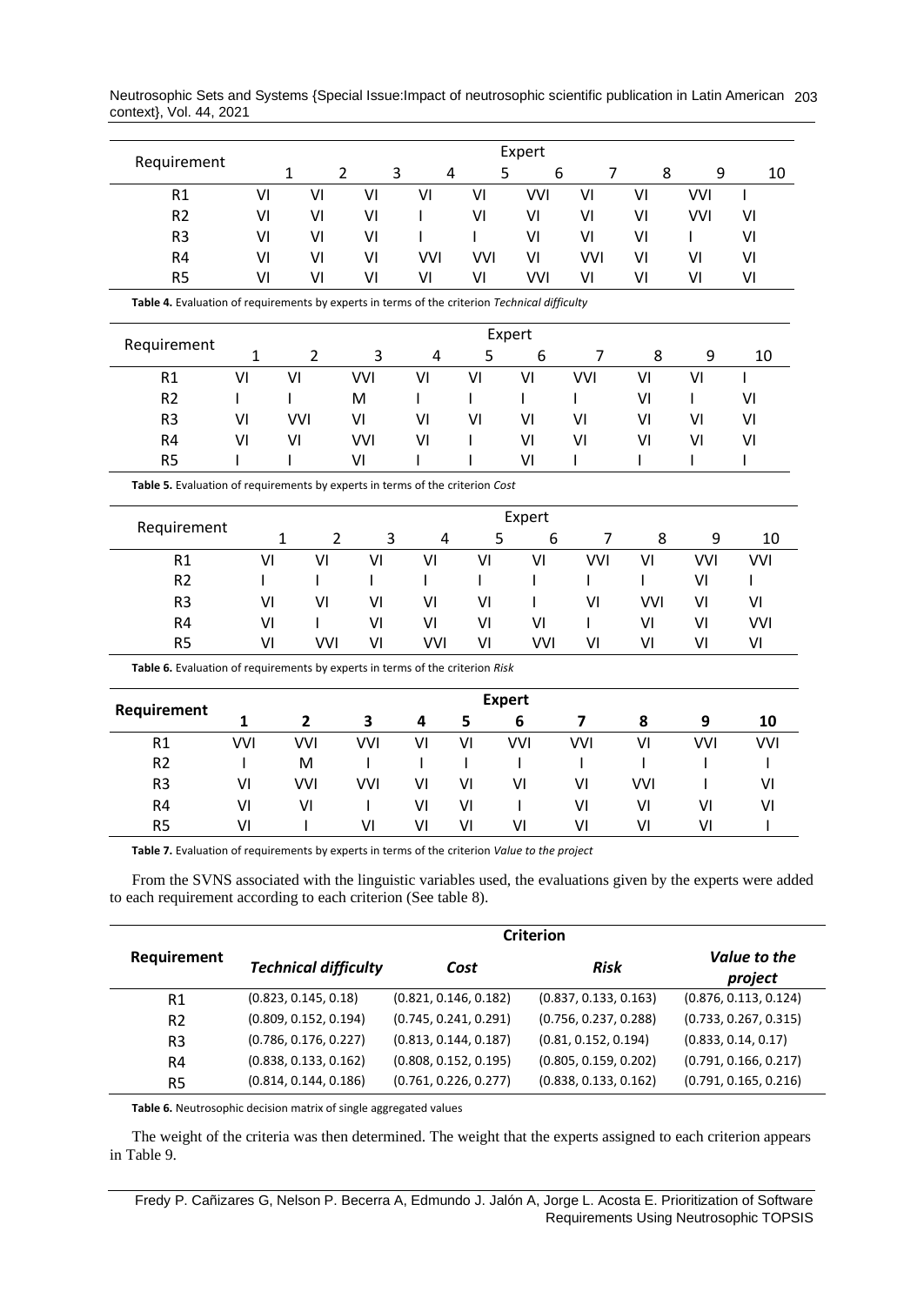Neutrosophic Sets and Systems {Special Issue:Impact of neutrosophic scientific publication in Latin American 203 context}, Vol. 44, 2021

|                                                                                               |              |                                |              |                |               | Expert     |                |              |            |            |
|-----------------------------------------------------------------------------------------------|--------------|--------------------------------|--------------|----------------|---------------|------------|----------------|--------------|------------|------------|
| Requirement                                                                                   |              | $\overline{2}$<br>$\mathbf{1}$ | 3            | $\overline{4}$ | 5             | 6          | 7              | 8            | 9          | 10         |
| R1                                                                                            | VI           | VI                             | VI           | VI             | VI            | <b>VVI</b> | VI             | VI           | <b>VVI</b> | L          |
| R <sub>2</sub>                                                                                | VI           | VI                             | VI           | $\mathbf{I}$   | VI            | VI         | VI             | VI           | <b>VVI</b> | VI         |
| R <sub>3</sub>                                                                                | VI           | VI                             | VI           |                |               | VI         | VI             | VI           | ı          | VI         |
| R4                                                                                            | VI           | VI                             | VI           | <b>VVI</b>     | <b>VVI</b>    | VI         | <b>VVI</b>     | VI           | VI         | VI         |
| R <sub>5</sub>                                                                                | VI           | VI                             | VI           | VI             | VI            | <b>VVI</b> | VI             | VI           | VI         | VI         |
| Table 4. Evaluation of requirements by experts in terms of the criterion Technical difficulty |              |                                |              |                |               |            |                |              |            |            |
| Requirement                                                                                   |              |                                |              |                |               | Expert     |                |              |            |            |
|                                                                                               | 1            | $\overline{2}$                 | 3            | $\overline{4}$ | 5             | 6          | $\overline{7}$ | 8            | 9          | 10         |
| R1                                                                                            | VI           | VI                             | <b>VVI</b>   | VI             | VI            | VI         | <b>VVI</b>     | VI           | VI         | ı          |
| R <sub>2</sub>                                                                                | $\mathsf{I}$ | I                              | M            | L              | L             | ı          | ı              | VI           |            | VI         |
| R <sub>3</sub>                                                                                | VI           | <b>VVI</b>                     | VI           | VI             | VI            | VI         | VI             | VI           | VI         | VI         |
| R4                                                                                            | VI           | VI                             | <b>VVI</b>   | VI             |               | VI         | VI             | VI           | VI         | VI         |
| R <sub>5</sub>                                                                                |              |                                | VI           |                |               | VI         | ı              | I            |            | L          |
| Table 5. Evaluation of requirements by experts in terms of the criterion Cost                 |              |                                |              |                |               |            |                |              |            |            |
|                                                                                               |              |                                |              |                |               | Expert     |                |              |            |            |
| Requirement                                                                                   |              | $\overline{2}$<br>1            | 3            | 4              | 5             | 6          | 7              | 8            | 9          | 10         |
| R1                                                                                            | VI           | VI                             | VI           | VI             | VI            | VI         | <b>VVI</b>     | VI           | <b>VVI</b> | <b>VVI</b> |
| R <sub>2</sub>                                                                                | T            | ı                              | ı            | I              | T             | I          | I              | ı            | VI         | L          |
| R <sub>3</sub>                                                                                | VI           | VI                             | VI           | VI             | VI            | ı          | VI             | <b>VVI</b>   | VI         | VI         |
| R4                                                                                            | VI           |                                | VI           | VI             | VI            | VI         | L              | VI           | VI         | VVI        |
| R <sub>5</sub>                                                                                | VI           | <b>VVI</b>                     | VI           | <b>VVI</b>     | VI            | <b>VVI</b> | VI             | VI           | VI         | VI         |
| Table 6. Evaluation of requirements by experts in terms of the criterion Risk                 |              |                                |              |                |               |            |                |              |            |            |
| Requirement                                                                                   |              |                                |              |                | <b>Expert</b> |            |                |              |            |            |
|                                                                                               | $\mathbf{1}$ | $\mathbf{2}$                   | 3            | 4              | 5             | 6          | 7              | 8            | 9          | 10         |
| R1                                                                                            | VVI          | <b>VVI</b>                     | <b>VVI</b>   | VI             | VI            | VVI        | <b>VVI</b>     | VI           | <b>VVI</b> | <b>VVI</b> |
| R <sub>2</sub>                                                                                | I            | M                              | $\mathbf{I}$ | $\mathbf{I}$   | I             | ı          | ı              | $\mathbf{I}$ | ı          | L          |
| R <sub>3</sub>                                                                                | VI           | <b>VVI</b>                     | <b>VVI</b>   | VI             | VI            | VI         | VI             | <b>VVI</b>   | T          | VI         |
| R <sub>4</sub>                                                                                | VI           | VI                             | $\mathsf{l}$ | VI             | VI            | I          | VI             | VI           | VI         | VI         |
|                                                                                               | VI           | $\mathbf{I}$                   | VI           | VI             | VI            | VI         | VI             | VI           | VI         | T          |

|                | <b>Criterion</b>            |                       |                       |                         |  |  |
|----------------|-----------------------------|-----------------------|-----------------------|-------------------------|--|--|
| Requirement    | <b>Technical difficulty</b> | Cost                  | <b>Risk</b>           | Value to the<br>project |  |  |
| R1             | (0.823, 0.145, 0.18)        | (0.821, 0.146, 0.182) | (0.837, 0.133, 0.163) | (0.876, 0.113, 0.124)   |  |  |
| R <sub>2</sub> | (0.809, 0.152, 0.194)       | (0.745, 0.241, 0.291) | (0.756, 0.237, 0.288) | (0.733, 0.267, 0.315)   |  |  |
| R <sub>3</sub> | (0.786, 0.176, 0.227)       | (0.813, 0.144, 0.187) | (0.81, 0.152, 0.194)  | (0.833, 0.14, 0.17)     |  |  |
| R4             | (0.838, 0.133, 0.162)       | (0.808, 0.152, 0.195) | (0.805, 0.159, 0.202) | (0.791, 0.166, 0.217)   |  |  |
| R5             | (0.814, 0.144, 0.186)       | (0.761, 0.226, 0.277) | (0.838, 0.133, 0.162) | (0.791, 0.165, 0.216)   |  |  |

**Table 6.** Neutrosophic decision matrix of single aggregated values

The weight of the criteria was then determined. The weight that the experts assigned to each criterion appears in Table 9.

Fredy P. Cañizares G, Nelson P. Becerra A, Edmundo J. Jalón A, Jorge L. Acosta E. Prioritization of Software Requirements Using Neutrosophic TOPSIS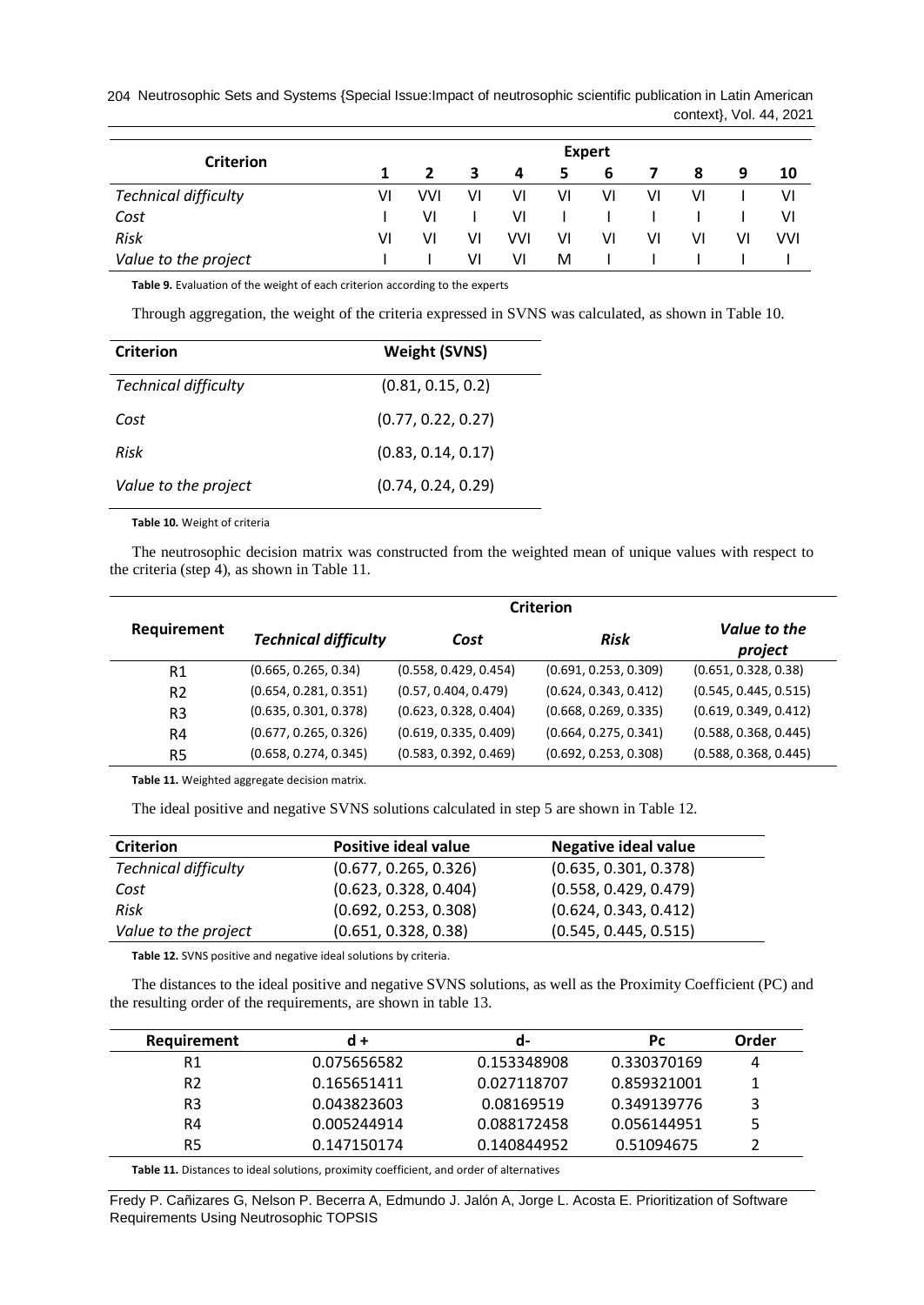204 Neutrosophic Sets and Systems {Special Issue:Impact of neutrosophic scientific publication in Latin American context}, Vol. 44, 2021

|                             | <b>Expert</b> |            |    |     |    |    |    |    |    |     |
|-----------------------------|---------------|------------|----|-----|----|----|----|----|----|-----|
| Criterion                   |               |            | 3  | 4   | 5  | 6  | 7  | 8  | 9  | 10  |
| <b>Technical difficulty</b> | VI            | <b>VVI</b> | VI | ۷ı  | v١ | VI | VI | ۷ı |    | ۷I  |
| Cost                        |               | VI         |    | VI  |    |    |    |    |    | ۷I  |
| Risk                        | VI            | VI         | V١ | VVI | ۷ı | ٧I | VI | ۷ı | VI | VVI |
| Value to the project        |               |            | VI | vı  | M  |    |    |    |    |     |

**Table 9.** Evaluation of the weight of each criterion according to the experts

Through aggregation, the weight of the criteria expressed in SVNS was calculated, as shown in Table 10.

| <b>Criterion</b>            | <b>Weight (SVNS)</b> |
|-----------------------------|----------------------|
| <b>Technical difficulty</b> | (0.81, 0.15, 0.2)    |
| Cost                        | (0.77, 0.22, 0.27)   |
| Risk                        | (0.83, 0.14, 0.17)   |
| Value to the project        | (0.74, 0.24, 0.29)   |

**Table 10.** Weight of criteria

The neutrosophic decision matrix was constructed from the weighted mean of unique values with respect to the criteria (step 4), as shown in Table 11.

|                | <b>Criterion</b>            |                       |                       |                         |  |  |
|----------------|-----------------------------|-----------------------|-----------------------|-------------------------|--|--|
| Requirement    | <b>Technical difficulty</b> | Cost                  | <b>Risk</b>           | Value to the<br>project |  |  |
| R1             | (0.665, 0.265, 0.34)        | (0.558, 0.429, 0.454) | (0.691, 0.253, 0.309) | (0.651, 0.328, 0.38)    |  |  |
| R <sub>2</sub> | (0.654, 0.281, 0.351)       | (0.57, 0.404, 0.479)  | (0.624, 0.343, 0.412) | (0.545, 0.445, 0.515)   |  |  |
| R3             | (0.635, 0.301, 0.378)       | (0.623, 0.328, 0.404) | (0.668, 0.269, 0.335) | (0.619, 0.349, 0.412)   |  |  |
| R4             | (0.677, 0.265, 0.326)       | (0.619, 0.335, 0.409) | (0.664, 0.275, 0.341) | (0.588, 0.368, 0.445)   |  |  |
| R5             | (0.658, 0.274, 0.345)       | (0.583, 0.392, 0.469) | (0.692, 0.253, 0.308) | (0.588, 0.368, 0.445)   |  |  |

**Table 11.** Weighted aggregate decision matrix.

The ideal positive and negative SVNS solutions calculated in step 5 are shown in Table 12.

| <b>Criterion</b>            | <b>Positive ideal value</b> | Negative ideal value  |
|-----------------------------|-----------------------------|-----------------------|
| <b>Technical difficulty</b> | (0.677, 0.265, 0.326)       | (0.635, 0.301, 0.378) |
| Cost                        | (0.623, 0.328, 0.404)       | (0.558, 0.429, 0.479) |
| Risk                        | (0.692, 0.253, 0.308)       | (0.624, 0.343, 0.412) |
| Value to the project        | (0.651, 0.328, 0.38)        | (0.545, 0.445, 0.515) |

**Table 12.** SVNS positive and negative ideal solutions by criteria.

The distances to the ideal positive and negative SVNS solutions, as well as the Proximity Coefficient (PC) and the resulting order of the requirements, are shown in table 13.

| Requirement | $d +$       | a-          | Pс          | Order |
|-------------|-------------|-------------|-------------|-------|
| R1          | 0.075656582 | 0.153348908 | 0.330370169 | 4     |
| R2          | 0.165651411 | 0.027118707 | 0.859321001 |       |
| R3          | 0.043823603 | 0.08169519  | 0.349139776 | 3     |
| R4          | 0.005244914 | 0.088172458 | 0.056144951 | 5     |
| R5          | 0.147150174 | 0.140844952 | 0.51094675  |       |
|             |             |             |             |       |

**Table 11.** Distances to ideal solutions, proximity coefficient, and order of alternatives

Fredy P. Cañizares G, Nelson P. Becerra A, Edmundo J. Jalón A, Jorge L. Acosta E. Prioritization of Software Requirements Using Neutrosophic TOPSIS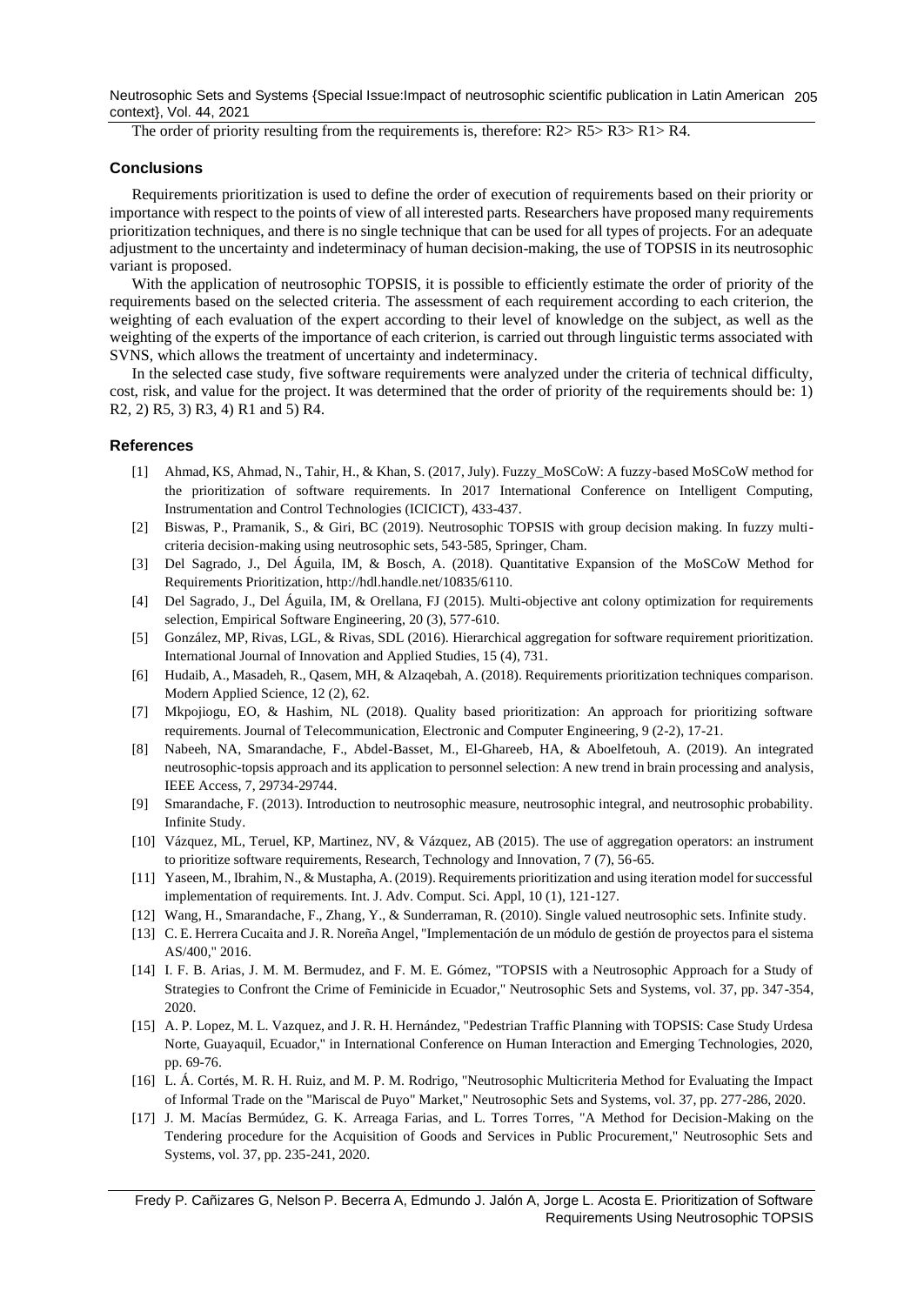Neutrosophic Sets and Systems {Special Issue:Impact of neutrosophic scientific publication in Latin American 205 context}, Vol. 44, 2021

The order of priority resulting from the requirements is, therefore:  $R2 > R5 > R3 > R1 > R4$ .

## **Conclusions**

Requirements prioritization is used to define the order of execution of requirements based on their priority or importance with respect to the points of view of all interested parts. Researchers have proposed many requirements prioritization techniques, and there is no single technique that can be used for all types of projects. For an adequate adjustment to the uncertainty and indeterminacy of human decision-making, the use of TOPSIS in its neutrosophic variant is proposed.

With the application of neutrosophic TOPSIS, it is possible to efficiently estimate the order of priority of the requirements based on the selected criteria. The assessment of each requirement according to each criterion, the weighting of each evaluation of the expert according to their level of knowledge on the subject, as well as the weighting of the experts of the importance of each criterion, is carried out through linguistic terms associated with SVNS, which allows the treatment of uncertainty and indeterminacy.

In the selected case study, five software requirements were analyzed under the criteria of technical difficulty, cost, risk, and value for the project. It was determined that the order of priority of the requirements should be: 1) R2, 2) R5, 3) R3, 4) R1 and 5) R4.

## **References**

- [1] Ahmad, KS, Ahmad, N., Tahir, H., & Khan, S. (2017, July). Fuzzy\_MoSCoW: A fuzzy-based MoSCoW method for the prioritization of software requirements. In 2017 International Conference on Intelligent Computing, Instrumentation and Control Technologies (ICICICT), 433-437.
- [2] Biswas, P., Pramanik, S., & Giri, BC (2019). Neutrosophic TOPSIS with group decision making. In fuzzy multicriteria decision-making using neutrosophic sets, 543-585, Springer, Cham.
- [3] Del Sagrado, J., Del Águila, IM, & Bosch, A. (2018). Quantitative Expansion of the MoSCoW Method for Requirements Prioritization, http://hdl.handle.net/10835/6110.
- [4] Del Sagrado, J., Del Águila, IM, & Orellana, FJ (2015). Multi-objective ant colony optimization for requirements selection, Empirical Software Engineering, 20 (3), 577-610.
- [5] González, MP, Rivas, LGL, & Rivas, SDL (2016). Hierarchical aggregation for software requirement prioritization. International Journal of Innovation and Applied Studies, 15 (4), 731.
- [6] Hudaib, A., Masadeh, R., Qasem, MH, & Alzaqebah, A. (2018). Requirements prioritization techniques comparison. Modern Applied Science, 12 (2), 62.
- [7] Mkpojiogu, EO, & Hashim, NL (2018). Quality based prioritization: An approach for prioritizing software requirements. Journal of Telecommunication, Electronic and Computer Engineering, 9 (2-2), 17-21.
- [8] Nabeeh, NA, Smarandache, F., Abdel-Basset, M., El-Ghareeb, HA, & Aboelfetouh, A. (2019). An integrated neutrosophic-topsis approach and its application to personnel selection: A new trend in brain processing and analysis, IEEE Access, 7, 29734-29744.
- [9] Smarandache, F. (2013). Introduction to neutrosophic measure, neutrosophic integral, and neutrosophic probability. Infinite Study.
- [10] Vázquez, ML, Teruel, KP, Martinez, NV, & Vázquez, AB (2015). The use of aggregation operators: an instrument to prioritize software requirements, Research, Technology and Innovation, 7 (7), 56-65.
- [11] Yaseen, M., Ibrahim, N., & Mustapha, A. (2019). Requirements prioritization and using iteration model for successful implementation of requirements. Int. J. Adv. Comput. Sci. Appl, 10 (1), 121-127.
- [12] Wang, H., Smarandache, F., Zhang, Y., & Sunderraman, R. (2010). Single valued neutrosophic sets. Infinite study.
- [13] C. E. Herrera Cucaita and J. R. Noreña Angel, "Implementación de un módulo de gestión de proyectos para el sistema AS/400," 2016.
- [14] I. F. B. Arias, J. M. M. Bermudez, and F. M. E. Gómez, "TOPSIS with a Neutrosophic Approach for a Study of Strategies to Confront the Crime of Feminicide in Ecuador," Neutrosophic Sets and Systems, vol. 37, pp. 347-354, 2020.
- [15] A. P. Lopez, M. L. Vazquez, and J. R. H. Hernández, "Pedestrian Traffic Planning with TOPSIS: Case Study Urdesa Norte, Guayaquil, Ecuador," in International Conference on Human Interaction and Emerging Technologies, 2020, pp. 69-76.
- [16] L. Á. Cortés, M. R. H. Ruiz, and M. P. M. Rodrigo, "Neutrosophic Multicriteria Method for Evaluating the Impact of Informal Trade on the "Mariscal de Puyo" Market," Neutrosophic Sets and Systems, vol. 37, pp. 277-286, 2020.
- [17] J. M. Macías Bermúdez, G. K. Arreaga Farias, and L. Torres Torres, "A Method for Decision-Making on the Tendering procedure for the Acquisition of Goods and Services in Public Procurement," Neutrosophic Sets and Systems, vol. 37, pp. 235-241, 2020.